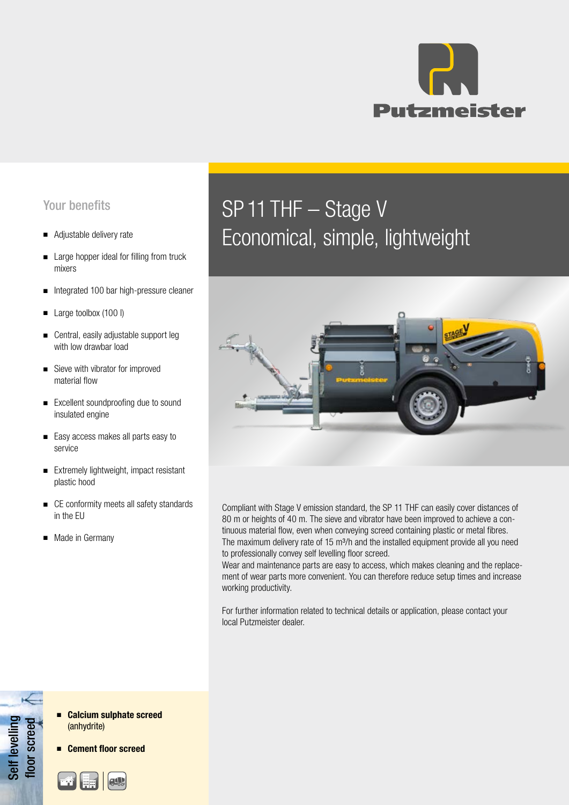

### Your benefits

- Adjustable delivery rate
- Large hopper ideal for filling from truck mixers
- Integrated 100 bar high-pressure cleaner
- Large toolbox (100 l)
- Central, easily adjustable support leg with low drawbar load
- Sieve with vibrator for improved material flow
- Excellent soundproofing due to sound insulated engine
- Easy access makes all parts easy to service
- Extremely lightweight, impact resistant plastic hood
- CE conformity meets all safety standards in the EU
- Made in Germany

# SP 11 THF – Stage V Economical, simple, lightweight



Compliant with Stage V emission standard, the SP 11 THF can easily cover distances of 80 m or heights of 40 m. The sieve and vibrator have been improved to achieve a continuous material flow, even when conveying screed containing plastic or metal fibres. The maximum delivery rate of 15 m<sup>3</sup>/h and the installed equipment provide all you need to professionally convey self levelling floor screed.

Wear and maintenance parts are easy to access, which makes cleaning and the replacement of wear parts more convenient. You can therefore reduce setup times and increase working productivity.

For further information related to technical details or application, please contact your local Putzmeister dealer.

Self levelling Self levelling floor screed loor screed

- Calcium sulphate screed (anhydrite)
- Cement floor screed